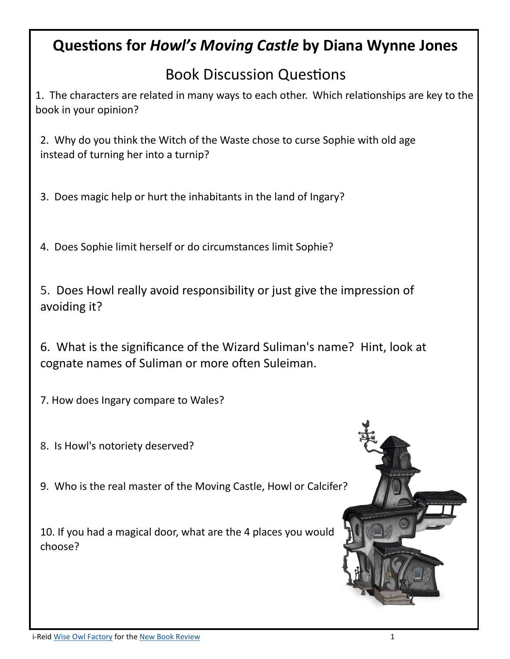## **Questions for** *Howl's Moving Castle* **by Diana Wynne Jones**

## Book Discussion Questions

1. The characters are related in many ways to each other. Which relationships are key to the book in your opinion?

2. Why do you think the Witch of the Waste chose to curse Sophie with old age instead of turning her into a turnip?

3. Does magic help or hurt the inhabitants in the land of Ingary?

4. Does Sophie limit herself or do circumstances limit Sophie?

5. Does Howl really avoid responsibility or just give the impression of avoiding it?

6. What is the significance of the Wizard Suliman's name? Hint, look at cognate names of Suliman or more often Suleiman.

7. How does Ingary compare to Wales?

8. Is Howl's notoriety deserved?

9. Who is the real master of the Moving Castle, Howl or Calcifer?

10. If you had a magical door, what are the 4 places you would choose?